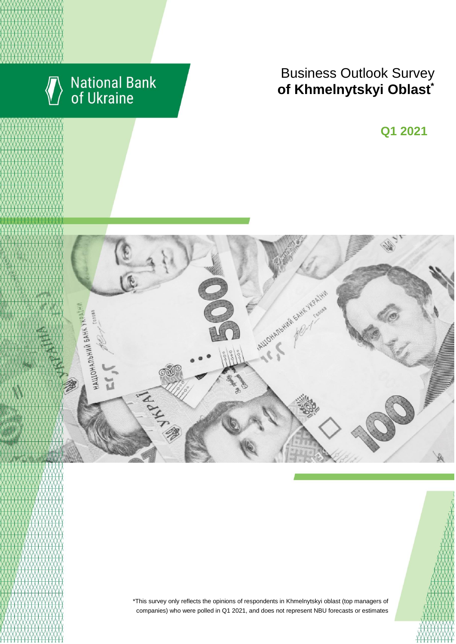

# National Bank<br>of Ukraine

# **Rusiness Outlook Survey**<br> **RESULTS** RESULTS **of Khmelnytskyi Oblast**<sup>\*</sup>

**Q2 2018 Q1 2021**



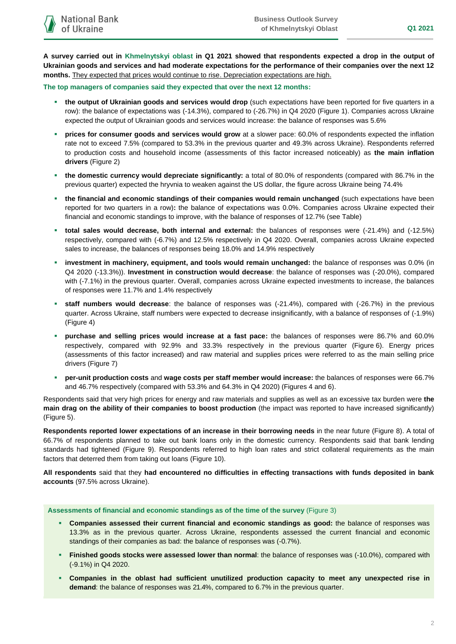**A survey carried out in Khmelnytskyi oblast in Q1 2021 showed that respondents expected a drop in the output of Ukrainian goods and services and had moderate expectations for the performance of their companies over the next 12 months.** They expected that prices would continue to rise. Depreciation expectations are high.

#### **The top managers of companies said they expected that over the next 12 months:**

- **the output of Ukrainian goods and services would drop** (such expectations have been reported for five quarters in a row): the balance of expectations was (-14.3%), compared to (-26.7%) in Q4 2020 (Figure 1). Companies across Ukraine expected the output of Ukrainian goods and services would increase: the balance of responses was 5.6%
- **prices for consumer goods and services would grow** at a slower pace: 60.0% of respondents expected the inflation rate not to exceed 7.5% (compared to 53.3% in the previous quarter and 49.3% across Ukraine). Respondents referred to production costs and household income (assessments of this factor increased noticeably) as **the main inflation drivers** (Figure 2)
- **the domestic currency would depreciate significantly:** a total of 80.0% of respondents (compared with 86.7% in the previous quarter) expected the hryvnia to weaken against the US dollar, the figure across Ukraine being 74.4%
- **the financial and economic standings of their companies would remain unchanged** (such expectations have been reported for two quarters in a row)**:** the balance of expectations was 0.0%. Companies across Ukraine expected their financial and economic standings to improve, with the balance of responses of 12.7% (see Table)
- **total sales would decrease, both internal and external:** the balances of responses were (-21.4%) and (-12.5%) respectively, compared with (-6.7%) and 12.5% respectively in Q4 2020. Overall, companies across Ukraine expected sales to increase, the balances of responses being 18.0% and 14.9% respectively
- **investment in machinery, equipment, and tools would remain unchanged:** the balance of responses was 0.0% (in Q4 2020 (-13.3%)). **Investment in construction would decrease**: the balance of responses was (-20.0%), compared with (-7.1%) in the previous quarter. Overall, companies across Ukraine expected investments to increase, the balances of responses were 11.7% and 1.4% respectively
- **staff numbers would decrease**: the balance of responses was (-21.4%), compared with (-26.7%) in the previous quarter. Across Ukraine, staff numbers were expected to decrease insignificantly, with a balance of responses of (-1.9%) (Figure 4)
- **purchase and selling prices would increase at a fast pace:** the balances of responses were 86.7% and 60.0% respectively, compared with 92.9% and 33.3% respectively in the previous quarter (Figure 6). Energy prices (assessments of this factor increased) and raw material and supplies prices were referred to as the main selling price drivers (Figure 7)
- **per-unit production costs** and **wage costs per staff member would increase:** the balances of responses were 66.7% and 46.7% respectively (compared with 53.3% and 64.3% in Q4 2020) (Figures 4 and 6).

Respondents said that very high prices for energy and raw materials and supplies as well as an excessive tax burden were **the main drag on the ability of their companies to boost production** (the impact was reported to have increased significantly) (Figure 5).

**Respondents reported lower expectations of an increase in their borrowing needs** in the near future (Figure 8). A total of 66.7% of respondents planned to take out bank loans only in the domestic currency. Respondents said that bank lending standards had tightened (Figure 9). Respondents referred to high loan rates and strict collateral requirements as the main factors that deterred them from taking out loans (Figure 10).

**All respondents** said that they **had encountered no difficulties in effecting transactions with funds deposited in bank accounts** (97.5% across Ukraine).

#### **Assessments of financial and economic standings as of the time of the survey** (Figure 3)

- **Companies assessed their current financial and economic standings as good:** the balance of responses was 13.3% as in the previous quarter. Across Ukraine, respondents assessed the current financial and economic standings of their companies as bad: the balance of responses was (-0.7%).
- **Finished goods stocks were assessed lower than normal**: the balance of responses was (-10.0%), compared with (-9.1%) in Q4 2020.
- **Companies in the oblast had sufficient unutilized production capacity to meet any unexpected rise in demand**: the balance of responses was 21.4%, compared to 6.7% in the previous quarter.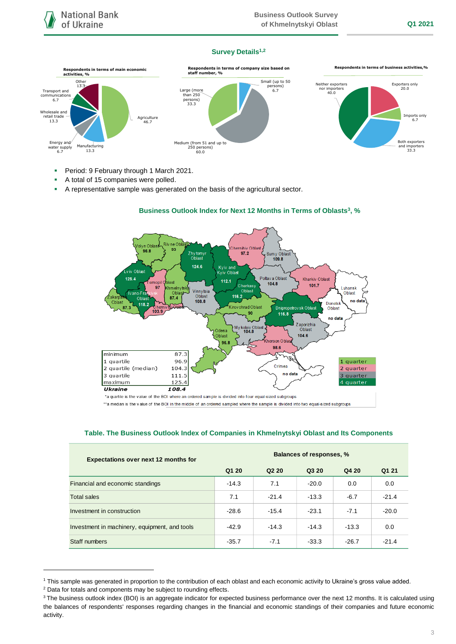#### **Survey Details1,2**



- **Period: 9 February through 1 March 2021.**
- A total of 15 companies were polled.
- A representative sample was generated on the basis of the agricultural sector.



## **Business Outlook Index for Next 12 Months in Terms of Oblasts<sup>3</sup> , %**

\*a quartile is the value of the BOI where an ordered sample is divided into four equal-sized subgroups

\*\*a median is the value of the BOI in the middle of an ordered sampled where the sample is divided into two equal-sized subgroups

#### **Table. The Business Outlook Index of Companies in Khmelnytskyi Oblast and Its Components**

| <b>Expectations over next 12 months for</b>   | Balances of responses, % |                               |         |         |         |
|-----------------------------------------------|--------------------------|-------------------------------|---------|---------|---------|
|                                               | Q1 20                    | Q <sub>2</sub> 2 <sub>0</sub> | Q3 20   | Q4 20   | Q1 21   |
| Financial and economic standings              | $-14.3$                  | 7.1                           | $-20.0$ | 0.0     | 0.0     |
| <b>Total sales</b>                            | 7.1                      | $-21.4$                       | $-13.3$ | $-6.7$  | $-21.4$ |
| Investment in construction                    | $-28.6$                  | $-15.4$                       | $-23.1$ | $-7.1$  | $-20.0$ |
| Investment in machinery, equipment, and tools | $-42.9$                  | $-14.3$                       | $-14.3$ | $-13.3$ | 0.0     |
| Staff numbers                                 | $-35.7$                  | $-7.1$                        | $-33.3$ | $-26.7$ | $-21.4$ |

<sup>1</sup> This sample was generated in proportion to the contribution of each oblast and each economic activity to Ukraine's gross value added.

1

<sup>2</sup> Data for totals and components may be subject to rounding effects.

<sup>&</sup>lt;sup>3</sup> The business outlook index (BOI) is an aggregate indicator for expected business performance over the next 12 months. It is calculated using the balances of respondents' responses regarding changes in the financial and economic standings of their companies and future economic activity.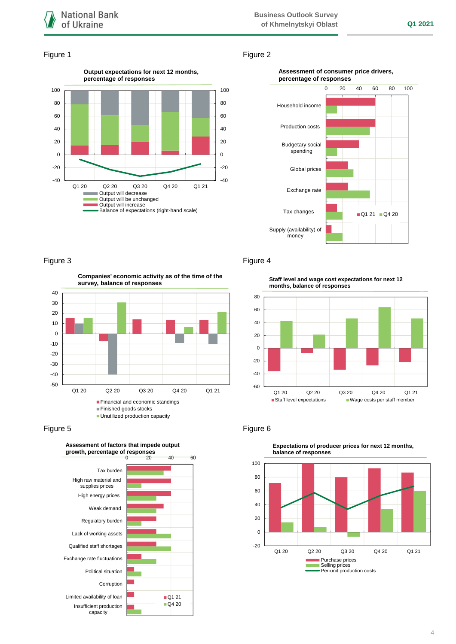

#### Figure 1 Figure 2



#### **Assessment of consumer price drivers, percentage of responses**



### Figure 3 **Figure 4**

**Companies' economic activity as of the time of the survey, balance of responses**







**Staff level and wage cost expectations for next 12 months, balance of responses**





**Expectations of producer prices for next 12 months,**